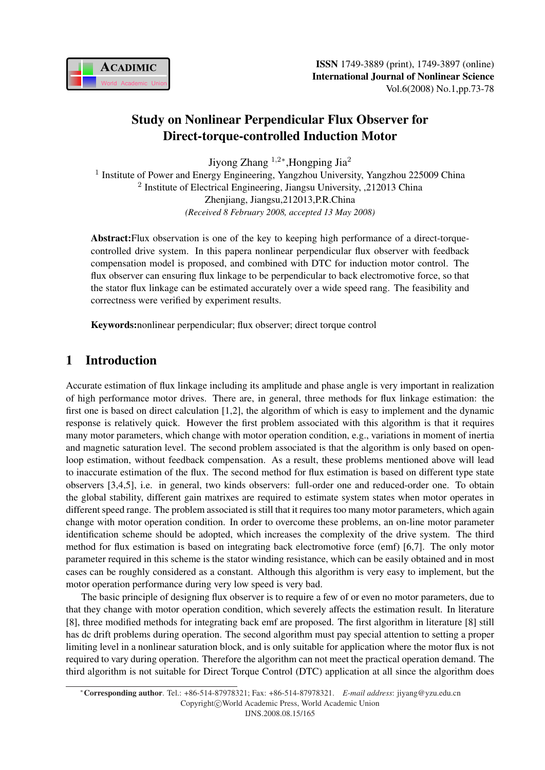

# Study on Nonlinear Perpendicular Flux Observer for Direct-torque-controlled Induction Motor

Jiyong Zhang <sup>1</sup>,2<sup>∗</sup> ,Hongping Jia<sup>2</sup> <sup>1</sup> Institute of Power and Energy Engineering, Yangzhou University, Yangzhou 225009 China <sup>2</sup> Institute of Electrical Engineering, Jiangsu University, ,212013 China Zhenjiang, Jiangsu,212013,P.R.China *(Received 8 February 2008, accepted 13 May 2008)*

Abstract:Flux observation is one of the key to keeping high performance of a direct-torquecontrolled drive system. In this papera nonlinear perpendicular flux observer with feedback compensation model is proposed, and combined with DTC for induction motor control. The flux observer can ensuring flux linkage to be perpendicular to back electromotive force, so that the stator flux linkage can be estimated accurately over a wide speed rang. The feasibility and correctness were verified by experiment results.

Keywords:nonlinear perpendicular; flux observer; direct torque control

### 1 Introduction

Accurate estimation of flux linkage including its amplitude and phase angle is very important in realization of high performance motor drives. There are, in general, three methods for flux linkage estimation: the first one is based on direct calculation [1,2], the algorithm of which is easy to implement and the dynamic response is relatively quick. However the first problem associated with this algorithm is that it requires many motor parameters, which change with motor operation condition, e.g., variations in moment of inertia and magnetic saturation level. The second problem associated is that the algorithm is only based on openloop estimation, without feedback compensation. As a result, these problems mentioned above will lead to inaccurate estimation of the flux. The second method for flux estimation is based on different type state observers [3,4,5], i.e. in general, two kinds observers: full-order one and reduced-order one. To obtain the global stability, different gain matrixes are required to estimate system states when motor operates in different speed range. The problem associated is still that it requires too many motor parameters, which again change with motor operation condition. In order to overcome these problems, an on-line motor parameter identification scheme should be adopted, which increases the complexity of the drive system. The third method for flux estimation is based on integrating back electromotive force (emf) [6,7]. The only motor parameter required in this scheme is the stator winding resistance, which can be easily obtained and in most cases can be roughly considered as a constant. Although this algorithm is very easy to implement, but the motor operation performance during very low speed is very bad.

The basic principle of designing flux observer is to require a few of or even no motor parameters, due to that they change with motor operation condition, which severely affects the estimation result. In literature [8], three modified methods for integrating back emf are proposed. The first algorithm in literature [8] still has dc drift problems during operation. The second algorithm must pay special attention to setting a proper limiting level in a nonlinear saturation block, and is only suitable for application where the motor flux is not required to vary during operation. Therefore the algorithm can not meet the practical operation demand. The third algorithm is not suitable for Direct Torque Control (DTC) application at all since the algorithm does

<sup>∗</sup>Corresponding author. Tel.: +86-514-87978321; Fax: +86-514-87978321. *E-mail address*: jiyang@yzu.edu.cn Copyright© World Academic Press, World Academic Union IJNS.2008.08.15/165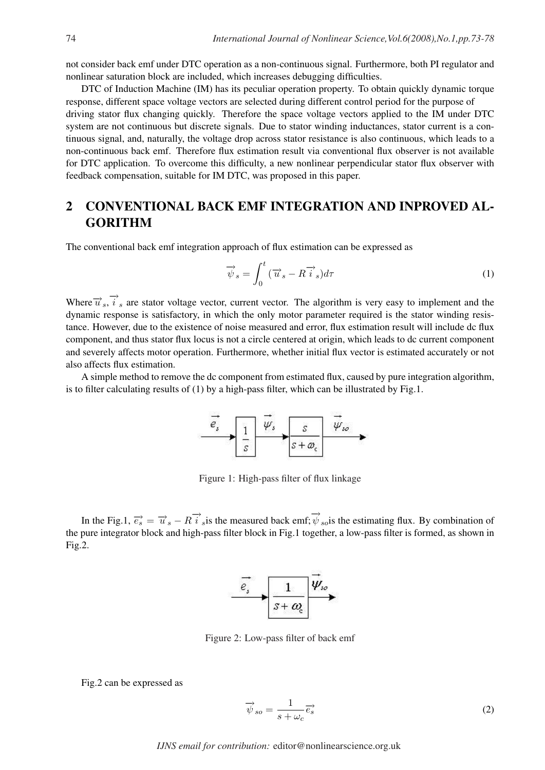not consider back emf under DTC operation as a non-continuous signal. Furthermore, both PI regulator and nonlinear saturation block are included, which increases debugging difficulties.

DTC of Induction Machine (IM) has its peculiar operation property. To obtain quickly dynamic torque response, different space voltage vectors are selected during different control period for the purpose of driving stator flux changing quickly. Therefore the space voltage vectors applied to the IM under DTC system are not continuous but discrete signals. Due to stator winding inductances, stator current is a continuous signal, and, naturally, the voltage drop across stator resistance is also continuous, which leads to a non-continuous back emf. Therefore flux estimation result via conventional flux observer is not available for DTC application. To overcome this difficulty, a new nonlinear perpendicular stator flux observer with feedback compensation, suitable for IM DTC, was proposed in this paper.

## 2 CONVENTIONAL BACK EMF INTEGRATION AND INPROVED AL-GORITHM

The conventional back emf integration approach of flux estimation can be expressed as

$$
\overrightarrow{\psi}_s = \int_0^t \left( \overrightarrow{u}_s - \overrightarrow{R} \cdot \overrightarrow{i}_s \right) d\tau \tag{1}
$$

Where  $\overrightarrow{u}_s$ ,  $\overrightarrow{i}_s$  are stator voltage vector, current vector. The algorithm is very easy to implement and the dynamic response is satisfactory, in which the only motor parameter required is the stator winding resistance. However, due to the existence of noise measured and error, flux estimation result will include dc flux component, and thus stator flux locus is not a circle centered at origin, which leads to dc current component and severely affects motor operation. Furthermore, whether initial flux vector is estimated accurately or not also affects flux estimation.

A simple method to remove the dc component from estimated flux, caused by pure integration algorithm, is to filter calculating results of  $(1)$  by a high-pass filter, which can be illustrated by Fig.1.



Figure 1: High-pass filter of flux linkage

In the Fig.1,  $\vec{e_s} = \vec{u}_s - R \vec{i}_s$  is the measured back emf;  $\vec{\psi}_{so}$  is the estimating flux. By combination of the pure integrator block and high-pass filter block in Fig.1 together, a low-pass filter is formed, as shown in Fig.2.



Figure 2: Low-pass filter of back emf

Fig.2 can be expressed as

$$
\overrightarrow{\psi}_{so} = \frac{1}{s + \omega_c} \overrightarrow{e_s}
$$
 (2)

*IJNS email for contribution:* editor@nonlinearscience.org.uk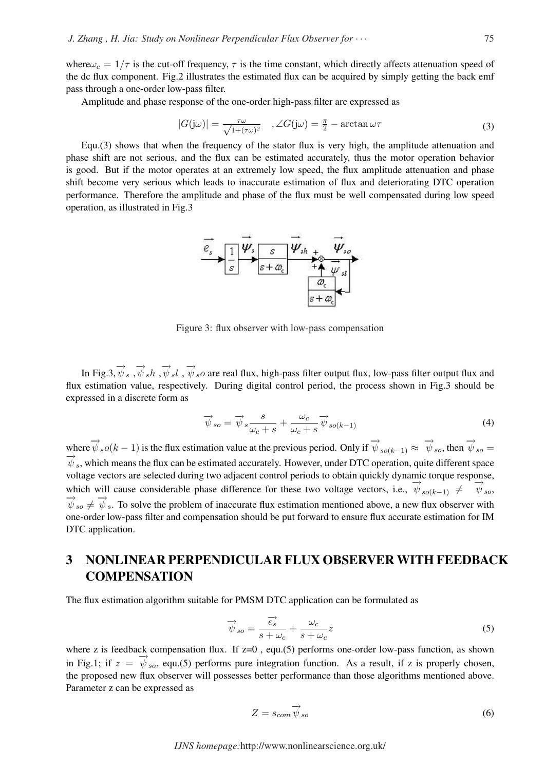where  $\omega_c = 1/\tau$  is the cut-off frequency,  $\tau$  is the time constant, which directly affects attenuation speed of the dc flux component. Fig.2 illustrates the estimated flux can be acquired by simply getting the back emf pass through a one-order low-pass filter.

Amplitude and phase response of the one-order high-pass filter are expressed as

$$
|G(j\omega)| = \frac{\tau\omega}{\sqrt{1+(\tau\omega)^2}} \quad , \angle G(j\omega) = \frac{\pi}{2} - \arctan\omega\tau \tag{3}
$$

Equ.(3) shows that when the frequency of the stator flux is very high, the amplitude attenuation and phase shift are not serious, and the flux can be estimated accurately, thus the motor operation behavior is good. But if the motor operates at an extremely low speed, the flux amplitude attenuation and phase shift become very serious which leads to inaccurate estimation of flux and deteriorating DTC operation performance. Therefore the amplitude and phase of the flux must be well compensated during low speed operation, as illustrated in Fig.3



Figure 3: flux observer with low-pass compensation

In Fig.3,  $\overrightarrow{\psi}_s$ ,  $\overrightarrow{\psi}_s h$ ,  $\overrightarrow{\psi}_s l$ ,  $\overrightarrow{\psi}_s o$  are real flux, high-pass filter output flux, low-pass filter output flux and flux estimation value, respectively. During digital control period, the process shown in Fig.3 should be expressed in a discrete form as

$$
\overrightarrow{\psi}_{so} = \overrightarrow{\psi}_{s} \frac{s}{\omega_{c} + s} + \frac{\omega_{c}}{\omega_{c} + s} \overrightarrow{\psi}_{so(k-1)}
$$
\n(4)

where  $\overrightarrow{\psi}_{s}o(k-1)$  is the flux estimation value at the previous period. Only if  $\overrightarrow{\psi}_{so(k-1)} \approx \overrightarrow{\psi}_{so}$ , then  $\overrightarrow{\psi}_{so} =$  $\vec{v}_s$ , which means the flux can be estimated accurately. However, under DTC operation, quite different space voltage vectors are selected during two adjacent control periods to obtain quickly dynamic torque response, which will cause considerable phase difference for these two voltage vectors, i.e.,  $\overrightarrow{\psi}_{so(k-1)} \neq \overrightarrow{\psi}_{so}$ ,  $\overrightarrow{\psi}_{so} \neq \overrightarrow{\psi}_s$ . To solve the problem of inaccurate flux estimation mentioned above, a new flux observer with one-order low-pass filter and compensation should be put forward to ensure flux accurate estimation for IM DTC application.

### 3 NONLINEAR PERPENDICULAR FLUX OBSERVER WITH FEEDBACK **COMPENSATION**

The flux estimation algorithm suitable for PMSM DTC application can be formulated as

$$
\overrightarrow{\psi}_{so} = \frac{\overrightarrow{e_s}}{s + \omega_c} + \frac{\omega_c}{s + \omega_c} z \tag{5}
$$

where z is feedback compensation flux. If  $z=0$ , equ.(5) performs one-order low-pass function, as shown in Fig.1; if  $z = \overline{\psi}_{so}$ , equ.(5) performs pure integration function. As a result, if z is properly chosen, the proposed new flux observer will possesses better performance than those algorithms mentioned above. Parameter z can be expressed as

$$
Z = s_{com} \overrightarrow{\psi}_{so} \tag{6}
$$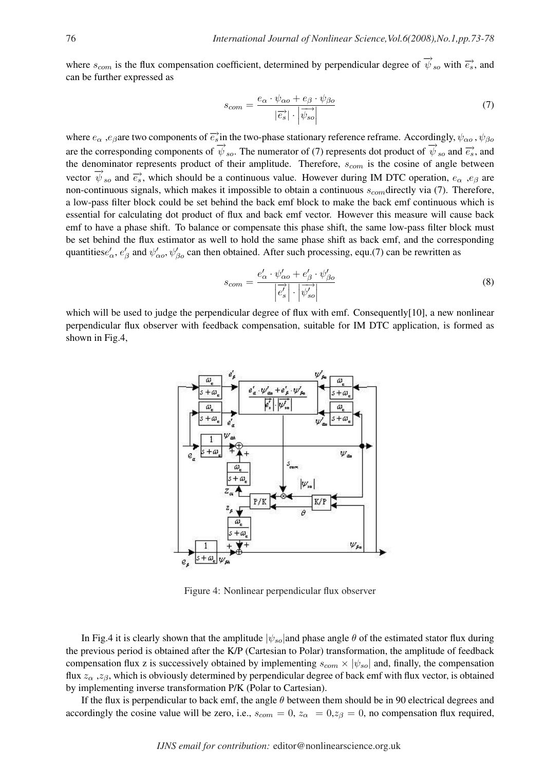where  $s_{com}$  is the flux compensation coefficient, determined by perpendicular degree of  $\overrightarrow{\psi}_{so}$  with  $\overrightarrow{e_s}$ , and can be further expressed as

$$
s_{com} = \frac{e_{\alpha} \cdot \psi_{\alpha o} + e_{\beta} \cdot \psi_{\beta o}}{|e_{s}^{2}| \cdot |\overrightarrow{\psi_{so}}|}
$$
(7)

where  $e_\alpha$ ,  $e_\beta$ are two components of  $\vec{e}_s$  in the two-phase stationary reference reframe. Accordingly,  $\psi_{\alpha o}$ ,  $\psi_{\beta o}$ are the corresponding components of  $\overrightarrow{\psi}_{so}$ . The numerator of (7) represents dot product of  $\overrightarrow{\psi}_{so}$  and  $\overrightarrow{e_s}$ , and the denominator represents product of their amplitude. Therefore,  $s_{com}$  is the cosine of angle between vector  $\overline{\psi}_{so}$  and  $\overline{e_s}$ , which should be a continuous value. However during IM DTC operation,  $e_{\alpha}$ ,  $e_{\beta}$  are non-continuous signals, which makes it impossible to obtain a continuous  $s_{com}$  directly via (7). Therefore, a low-pass filter block could be set behind the back emf block to make the back emf continuous which is essential for calculating dot product of flux and back emf vector. However this measure will cause back emf to have a phase shift. To balance or compensate this phase shift, the same low-pass filter block must be set behind the flux estimator as well to hold the same phase shift as back emf, and the corresponding quantities $e'_\alpha$ ,  $e'_\beta$  and  $\psi'_{\alpha o}$ ,  $\psi'_{\beta o}$  can then obtained. After such processing, equ.(7) can be rewritten as

$$
s_{com} = \frac{e'_{\alpha} \cdot \psi'_{\alpha o} + e'_{\beta} \cdot \psi'_{\beta o}}{\left| \overrightarrow{e'_s} \right| \cdot \left| \overrightarrow{\psi'_{so}} \right|} \tag{8}
$$

which will be used to judge the perpendicular degree of flux with emf. Consequently[10], a new nonlinear perpendicular flux observer with feedback compensation, suitable for IM DTC application, is formed as shown in Fig.4,



Figure 4: Nonlinear perpendicular flux observer

In Fig.4 it is clearly shown that the amplitude  $|\psi_{so}|$  and phase angle  $\theta$  of the estimated stator flux during the previous period is obtained after the K/P (Cartesian to Polar) transformation, the amplitude of feedback compensation flux z is successively obtained by implementing  $s_{com} \times |\psi_{so}|$  and, finally, the compensation flux  $z_\alpha$ ,  $z_\beta$ , which is obviously determined by perpendicular degree of back emf with flux vector, is obtained by implementing inverse transformation P/K (Polar to Cartesian).

If the flux is perpendicular to back emf, the angle  $\theta$  between them should be in 90 electrical degrees and accordingly the cosine value will be zero, i.e.,  $s_{com} = 0$ ,  $z_{\alpha} = 0$ ,  $z_{\beta} = 0$ , no compensation flux required,

*IJNS email for contribution:* editor@nonlinearscience.org.uk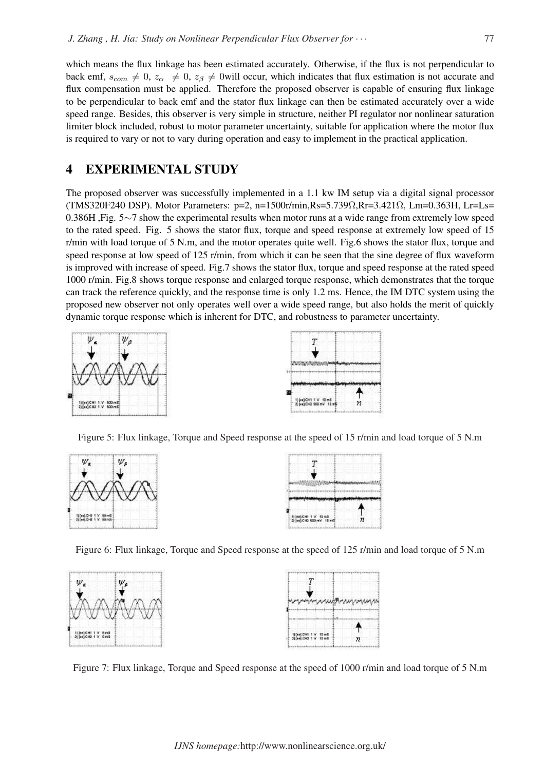which means the flux linkage has been estimated accurately. Otherwise, if the flux is not perpendicular to back emf,  $s_{com} \neq 0$ ,  $z_{\alpha} \neq 0$ ,  $z_{\beta} \neq 0$  will occur, which indicates that flux estimation is not accurate and flux compensation must be applied. Therefore the proposed observer is capable of ensuring flux linkage to be perpendicular to back emf and the stator flux linkage can then be estimated accurately over a wide speed range. Besides, this observer is very simple in structure, neither PI regulator nor nonlinear saturation limiter block included, robust to motor parameter uncertainty, suitable for application where the motor flux is required to vary or not to vary during operation and easy to implement in the practical application.

#### 4 EXPERIMENTAL STUDY

The proposed observer was successfully implemented in a 1.1 kw IM setup via a digital signal processor (TMS320F240 DSP). Motor Parameters: p=2, n=1500r/min,Rs=5.739Ω,Rr=3.421Ω, Lm=0.363H, Lr=Ls= 0.386H ,Fig. 5∼7 show the experimental results when motor runs at a wide range from extremely low speed to the rated speed. Fig. 5 shows the stator flux, torque and speed response at extremely low speed of 15 r/min with load torque of 5 N.m, and the motor operates quite well. Fig.6 shows the stator flux, torque and speed response at low speed of 125 r/min, from which it can be seen that the sine degree of flux waveform is improved with increase of speed. Fig.7 shows the stator flux, torque and speed response at the rated speed 1000 r/min. Fig.8 shows torque response and enlarged torque response, which demonstrates that the torque can track the reference quickly, and the response time is only 1.2 ms. Hence, the IM DTC system using the proposed new observer not only operates well over a wide speed range, but also holds the merit of quickly dynamic torque response which is inherent for DTC, and robustness to parameter uncertainty.



Figure 5: Flux linkage, Torque and Speed response at the speed of 15 r/min and load torque of 5 N.m.





Figure 6: Flux linkage, Torque and Speed response at the speed of 125 r/min and load torque of 5 N.m





Figure 7: Flux linkage, Torque and Speed response at the speed of 1000 r/min and load torque of 5 N.m